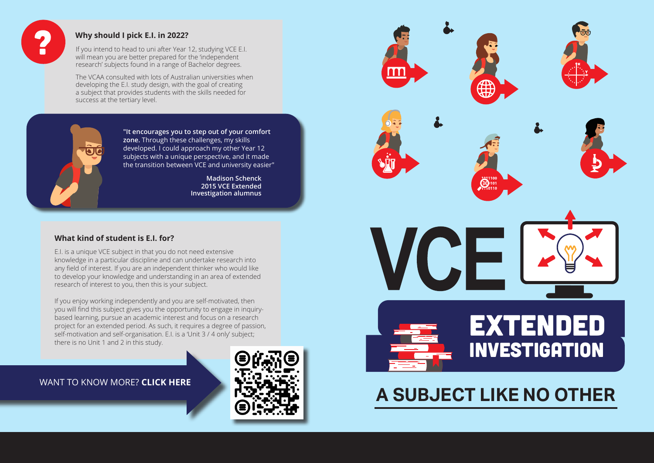# **A SUBJECT LIKE NO OTHER**

## EXTENDED INVESTIGATION







#### **What kind of student is E.I. for?**

E.I. is a unique VCE subject in that you do not need extensive knowledge in a particular discipline and can undertake research into any field of interest. If you are an independent thinker who would like to develop your knowledge and understanding in an area of extended research of interest to you, then this is your subject.

If you enjoy working independently and you are self-motivated, then you will find this subject gives you the opportunity to engage in inquirybased learning, pursue an academic interest and focus on a research project for an extended period. As such, it requires a degree of passion, self-motivation and self-organisation. E.I. is a 'Unit 3 / 4 only' subject; there is no Unit 1 and 2 in this study.





#### **Why should I pick E.I. in 2022?**

**Madison Schenck 2015 VCE Extended Investigation alumnus** 







**"It encourages you to step out of your comfort zone.** Through these challenges, my skills developed. I could approach my other Year 12 subjects with a unique perspective, and it made the transition between VCE and university easier"

If you intend to head to uni after Year 12, studying VCE E.I. will mean you are better prepared for the 'independent research' subjects found in a range of Bachelor degrees.

The VCAA consulted with lots of Australian universities when developing the E.I. study design, with the goal of creating a subject that provides students with the skills needed for success at the tertiary level.

#### WANT TO KNOW MORE? **CLICK HERE**